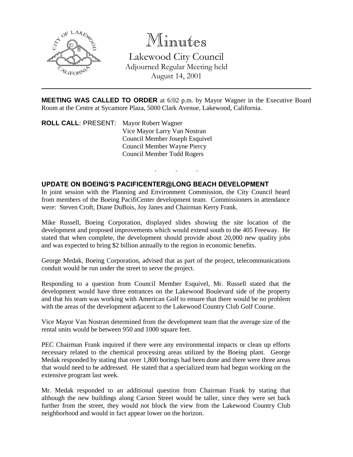

# Minutes

Lakewood City Council Adjourned Regular Meeting held August 14, 2001

**MEETING WAS CALLED TO ORDER** at 6:02 p.m. by Mayor Wagner in the Executive Board Room at the Centre at Sycamore Plaza, 5000 Clark Avenue, Lakewood, California.

. . .

**ROLL CALL**: PRESENT: Mayor Robert Wagner Vice Mayor Larry Van Nostran Council Member Joseph Esquivel Council Member Wayne Piercy Council Member Todd Rogers

### **UPDATE ON BOEING'S PACIFICENTER@LONG BEACH DEVELOPMENT**

In joint session with the Planning and Environment Commission, the City Council heard from members of the Boeing PacifiCenter development team. Commissioners in attendance were: Steven Croft, Diane DuBois, Joy Janes and Chairman Kerry Frank.

Mike Russell, Boeing Corporation, displayed slides showing the site location of the development and proposed improvements which would extend south to the 405 Freeway. He stated that when complete, the development should provide about 20,000 new quality jobs and was expected to bring \$2 billion annually to the region in economic benefits.

George Medak, Boeing Corporation, advised that as part of the project, telecommunications conduit would be run under the street to serve the project.

Responding to a question from Council Member Esquivel, Mr. Russell stated that the development would have three entrances on the Lakewood Boulevard side of the property and that his team was working with American Golf to ensure that there would be no problem with the areas of the development adjacent to the Lakewood Country Club Golf Course.

Vice Mayor Van Nostran determined from the development team that the average size of the rental units would be between 950 and 1000 square feet.

PEC Chairman Frank inquired if there were any environmental impacts or clean up efforts necessary related to the chemical processing areas utilized by the Boeing plant. George Medak responded by stating that over 1,800 borings had been done and there were three areas that would need to be addressed. He stated that a specialized team had begun working on the extensive program last week.

Mr. Medak responded to an additional question from Chairman Frank by stating that although the new buildings along Carson Street would be taller, since they were set back further from the street, they would not block the view from the Lakewood Country Club neighborhood and would in fact appear lower on the horizon.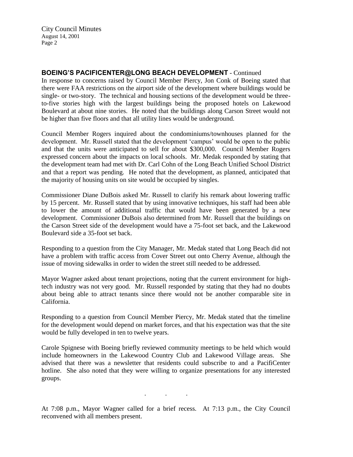City Council Minutes August 14, 2001 Page 2

#### **BOEING'S PACIFICENTER@LONG BEACH DEVELOPMENT** - Continued

In response to concerns raised by Council Member Piercy, Jon Conk of Boeing stated that there were FAA restrictions on the airport side of the development where buildings would be single- or two-story. The technical and housing sections of the development would be threeto-five stories high with the largest buildings being the proposed hotels on Lakewood Boulevard at about nine stories. He noted that the buildings along Carson Street would not be higher than five floors and that all utility lines would be underground.

Council Member Rogers inquired about the condominiums/townhouses planned for the development. Mr. Russell stated that the development 'campus' would be open to the public and that the units were anticipated to sell for about \$300,000. Council Member Rogers expressed concern about the impacts on local schools. Mr. Medak responded by stating that the development team had met with Dr. Carl Cohn of the Long Beach Unified School District and that a report was pending. He noted that the development, as planned, anticipated that the majority of housing units on site would be occupied by singles.

Commissioner Diane DuBois asked Mr. Russell to clarify his remark about lowering traffic by 15 percent. Mr. Russell stated that by using innovative techniques, his staff had been able to lower the amount of additional traffic that would have been generated by a new development. Commissioner DuBois also determined from Mr. Russell that the buildings on the Carson Street side of the development would have a 75-foot set back, and the Lakewood Boulevard side a 35-foot set back.

Responding to a question from the City Manager, Mr. Medak stated that Long Beach did not have a problem with traffic access from Cover Street out onto Cherry Avenue, although the issue of moving sidewalks in order to widen the street still needed to be addressed.

Mayor Wagner asked about tenant projections, noting that the current environment for hightech industry was not very good. Mr. Russell responded by stating that they had no doubts about being able to attract tenants since there would not be another comparable site in California.

Responding to a question from Council Member Piercy, Mr. Medak stated that the timeline for the development would depend on market forces, and that his expectation was that the site would be fully developed in ten to twelve years.

Carole Spignese with Boeing briefly reviewed community meetings to be held which would include homeowners in the Lakewood Country Club and Lakewood Village areas. She advised that there was a newsletter that residents could subscribe to and a PacifiCenter hotline. She also noted that they were willing to organize presentations for any interested groups.

. . .

At 7:08 p.m., Mayor Wagner called for a brief recess. At 7:13 p.m., the City Council reconvened with all members present.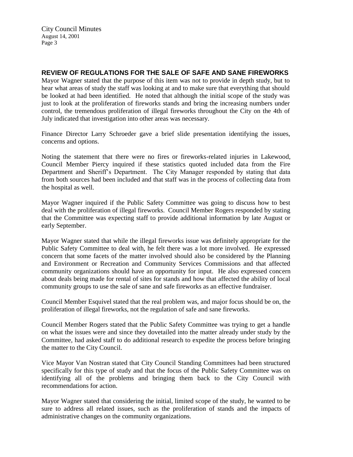## **REVIEW OF REGULATIONS FOR THE SALE OF SAFE AND SANE FIREWORKS**

Mayor Wagner stated that the purpose of this item was not to provide in depth study, but to hear what areas of study the staff was looking at and to make sure that everything that should be looked at had been identified. He noted that although the initial scope of the study was just to look at the proliferation of fireworks stands and bring the increasing numbers under control, the tremendous proliferation of illegal fireworks throughout the City on the 4th of July indicated that investigation into other areas was necessary.

Finance Director Larry Schroeder gave a brief slide presentation identifying the issues, concerns and options.

Noting the statement that there were no fires or fireworks-related injuries in Lakewood, Council Member Piercy inquired if these statistics quoted included data from the Fire Department and Sheriff's Department. The City Manager responded by stating that data from both sources had been included and that staff was in the process of collecting data from the hospital as well.

Mayor Wagner inquired if the Public Safety Committee was going to discuss how to best deal with the proliferation of illegal fireworks. Council Member Rogers responded by stating that the Committee was expecting staff to provide additional information by late August or early September.

Mayor Wagner stated that while the illegal fireworks issue was definitely appropriate for the Public Safety Committee to deal with, he felt there was a lot more involved. He expressed concern that some facets of the matter involved should also be considered by the Planning and Environment or Recreation and Community Services Commissions and that affected community organizations should have an opportunity for input. He also expressed concern about deals being made for rental of sites for stands and how that affected the ability of local community groups to use the sale of sane and safe fireworks as an effective fundraiser.

Council Member Esquivel stated that the real problem was, and major focus should be on, the proliferation of illegal fireworks, not the regulation of safe and sane fireworks.

Council Member Rogers stated that the Public Safety Committee was trying to get a handle on what the issues were and since they dovetailed into the matter already under study by the Committee, had asked staff to do additional research to expedite the process before bringing the matter to the City Council.

Vice Mayor Van Nostran stated that City Council Standing Committees had been structured specifically for this type of study and that the focus of the Public Safety Committee was on identifying all of the problems and bringing them back to the City Council with recommendations for action.

Mayor Wagner stated that considering the initial, limited scope of the study, he wanted to be sure to address all related issues, such as the proliferation of stands and the impacts of administrative changes on the community organizations.